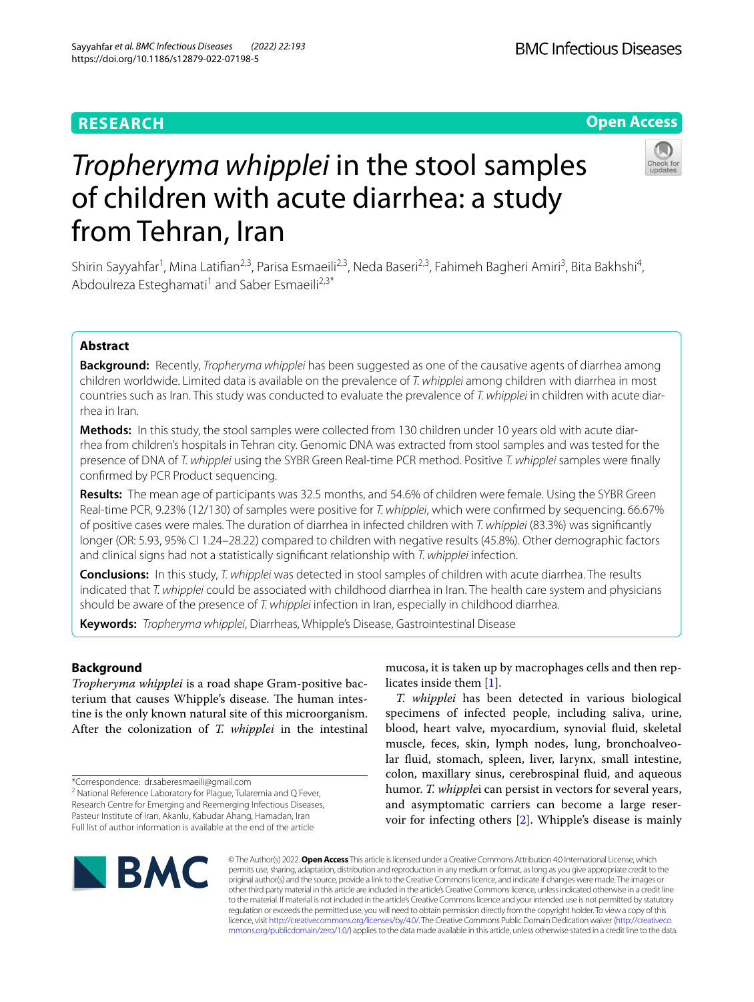# **RESEARCH**





# *Tropheryma whipplei* in the stool samples of children with acute diarrhea: a study from Tehran, Iran

Shirin Sayyahfar<sup>1</sup>, Mina Latifian<sup>2,3</sup>, Parisa Esmaeili<sup>2,3</sup>, Neda Baseri<sup>2,3</sup>, Fahimeh Bagheri Amiri<sup>3</sup>, Bita Bakhshi<sup>4</sup>, Abdoulreza Esteghamati<sup>1</sup> and Saber Esmaeili<sup>2,3\*</sup>

## **Abstract**

**Background:** Recently, *Tropheryma whipplei* has been suggested as one of the causative agents of diarrhea among children worldwide. Limited data is available on the prevalence of *T. whipplei* among children with diarrhea in most countries such as Iran. This study was conducted to evaluate the prevalence of *T. whipplei* in children with acute diarrhea in Iran.

**Methods:** In this study, the stool samples were collected from 130 children under 10 years old with acute diarrhea from children's hospitals in Tehran city. Genomic DNA was extracted from stool samples and was tested for the presence of DNA of *T. whipplei* using the SYBR Green Real-time PCR method. Positive *T. whipplei* samples were fnally confrmed by PCR Product sequencing.

**Results:** The mean age of participants was 32.5 months, and 54.6% of children were female. Using the SYBR Green Real-time PCR, 9.23% (12/130) of samples were positive for *T. whipplei*, which were confrmed by sequencing. 66.67% of positive cases were males. The duration of diarrhea in infected children with *T. whipplei* (83.3%) was signifcantly longer (OR: 5.93, 95% CI 1.24–28.22) compared to children with negative results (45.8%). Other demographic factors and clinical signs had not a statistically signifcant relationship with *T. whipplei* infection.

**Conclusions:** In this study, *T. whipplei* was detected in stool samples of children with acute diarrhea. The results indicated that *T. whipplei* could be associated with childhood diarrhea in Iran. The health care system and physicians should be aware of the presence of *T. whipplei* infection in Iran, especially in childhood diarrhea.

**Keywords:** *Tropheryma whipplei*, Diarrheas, Whipple's Disease, Gastrointestinal Disease

### **Background**

*Tropheryma whipplei* is a road shape Gram-positive bacterium that causes Whipple's disease. The human intestine is the only known natural site of this microorganism. After the colonization of *T. whipplei* in the intestinal

<sup>2</sup> National Reference Laboratory for Plague, Tularemia and Q Fever, Research Centre for Emerging and Reemerging Infectious Diseases, Pasteur Institute of Iran, Akanlu, Kabudar Ahang, Hamadan, Iran Full list of author information is available at the end of the article

mucosa, it is taken up by macrophages cells and then replicates inside them [[1\]](#page-4-0).

*T. whipplei* has been detected in various biological specimens of infected people, including saliva, urine, blood, heart valve, myocardium, synovial fuid, skeletal muscle, feces, skin, lymph nodes, lung, bronchoalveolar fuid, stomach, spleen, liver, larynx, small intestine, colon, maxillary sinus, cerebrospinal fuid, and aqueous humor. *T. whipple*i can persist in vectors for several years, and asymptomatic carriers can become a large reservoir for infecting others [[2\]](#page-4-1). Whipple's disease is mainly



© The Author(s) 2022. **Open Access** This article is licensed under a Creative Commons Attribution 4.0 International License, which permits use, sharing, adaptation, distribution and reproduction in any medium or format, as long as you give appropriate credit to the original author(s) and the source, provide a link to the Creative Commons licence, and indicate if changes were made. The images or other third party material in this article are included in the article's Creative Commons licence, unless indicated otherwise in a credit line to the material. If material is not included in the article's Creative Commons licence and your intended use is not permitted by statutory regulation or exceeds the permitted use, you will need to obtain permission directly from the copyright holder. To view a copy of this licence, visit [http://creativecommons.org/licenses/by/4.0/.](http://creativecommons.org/licenses/by/4.0/) The Creative Commons Public Domain Dedication waiver ([http://creativeco](http://creativecommons.org/publicdomain/zero/1.0/) [mmons.org/publicdomain/zero/1.0/](http://creativecommons.org/publicdomain/zero/1.0/)) applies to the data made available in this article, unless otherwise stated in a credit line to the data.

<sup>\*</sup>Correspondence: dr.saberesmaeili@gmail.com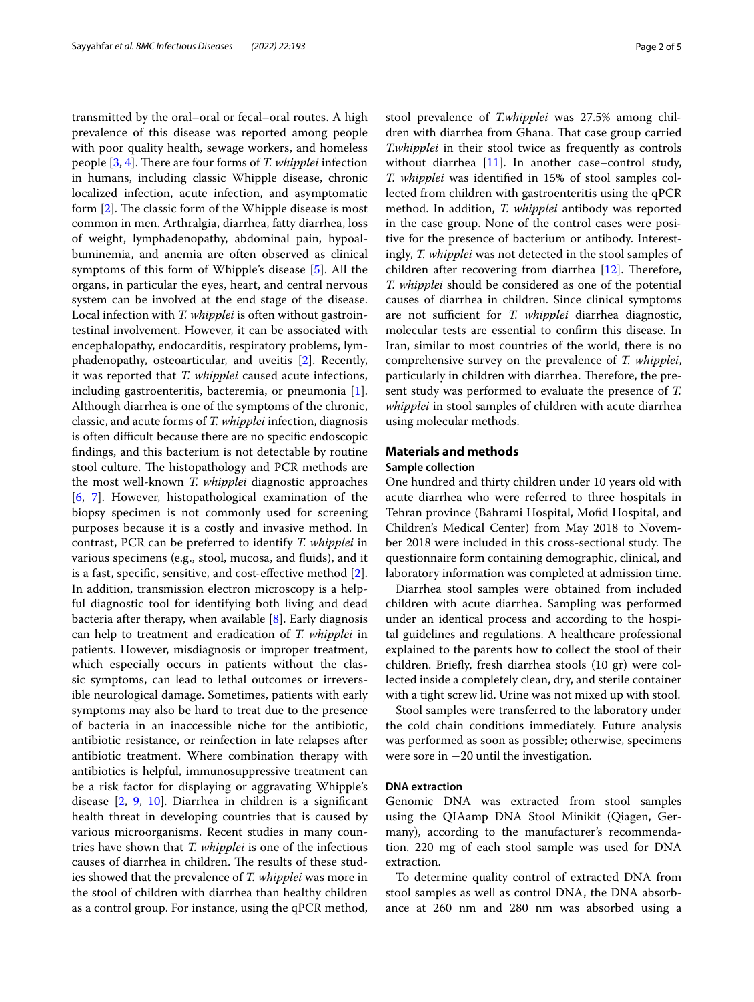transmitted by the oral–oral or fecal–oral routes. A high prevalence of this disease was reported among people with poor quality health, sewage workers, and homeless people [\[3](#page-4-2), [4\]](#page-4-3). There are four forms of *T. whipplei* infection in humans, including classic Whipple disease, chronic localized infection, acute infection, and asymptomatic form  $[2]$  $[2]$  $[2]$ . The classic form of the Whipple disease is most common in men. Arthralgia, diarrhea, fatty diarrhea, loss of weight, lymphadenopathy, abdominal pain, hypoalbuminemia, and anemia are often observed as clinical symptoms of this form of Whipple's disease [\[5\]](#page-4-4). All the organs, in particular the eyes, heart, and central nervous system can be involved at the end stage of the disease. Local infection with *T. whipplei* is often without gastrointestinal involvement. However, it can be associated with encephalopathy, endocarditis, respiratory problems, lymphadenopathy, osteoarticular, and uveitis [[2\]](#page-4-1). Recently, it was reported that *T. whipplei* caused acute infections, including gastroenteritis, bacteremia, or pneumonia [\[1](#page-4-0)]. Although diarrhea is one of the symptoms of the chronic, classic, and acute forms of *T. whipplei* infection, diagnosis is often difficult because there are no specific endoscopic fndings, and this bacterium is not detectable by routine stool culture. The histopathology and PCR methods are the most well-known *T. whipplei* diagnostic approaches [[6,](#page-4-5) [7](#page-4-6)]. However, histopathological examination of the biopsy specimen is not commonly used for screening purposes because it is a costly and invasive method. In contrast, PCR can be preferred to identify *T. whipplei* in various specimens (e.g., stool, mucosa, and fuids), and it is a fast, specifc, sensitive, and cost-efective method [\[2](#page-4-1)]. In addition, transmission electron microscopy is a helpful diagnostic tool for identifying both living and dead bacteria after therapy, when available [[8\]](#page-4-7). Early diagnosis can help to treatment and eradication of *T. whipplei* in patients. However, misdiagnosis or improper treatment, which especially occurs in patients without the classic symptoms, can lead to lethal outcomes or irreversible neurological damage. Sometimes, patients with early symptoms may also be hard to treat due to the presence of bacteria in an inaccessible niche for the antibiotic, antibiotic resistance, or reinfection in late relapses after antibiotic treatment. Where combination therapy with antibiotics is helpful, immunosuppressive treatment can be a risk factor for displaying or aggravating Whipple's disease [[2,](#page-4-1) [9](#page-4-8), [10\]](#page-4-9). Diarrhea in children is a signifcant health threat in developing countries that is caused by various microorganisms. Recent studies in many countries have shown that *T. whipplei* is one of the infectious causes of diarrhea in children. The results of these studies showed that the prevalence of *T. whipplei* was more in the stool of children with diarrhea than healthy children as a control group. For instance, using the qPCR method, stool prevalence of *T.whipplei* was 27.5% among children with diarrhea from Ghana. That case group carried *T.whipplei* in their stool twice as frequently as controls without diarrhea [[11\]](#page-4-10). In another case–control study, *T. whipplei* was identifed in 15% of stool samples collected from children with gastroenteritis using the qPCR method. In addition, *T. whipplei* antibody was reported in the case group. None of the control cases were positive for the presence of bacterium or antibody. Interestingly, *T. whipplei* was not detected in the stool samples of children after recovering from diarrhea  $[12]$  $[12]$  $[12]$ . Therefore, *T. whipplei* should be considered as one of the potential causes of diarrhea in children. Since clinical symptoms are not sufficient for *T. whipplei* diarrhea diagnostic, molecular tests are essential to confrm this disease. In Iran, similar to most countries of the world, there is no comprehensive survey on the prevalence of *T. whipplei*, particularly in children with diarrhea. Therefore, the present study was performed to evaluate the presence of *T. whipplei* in stool samples of children with acute diarrhea using molecular methods.

#### **Materials and methods**

#### **Sample collection**

One hundred and thirty children under 10 years old with acute diarrhea who were referred to three hospitals in Tehran province (Bahrami Hospital, Mofd Hospital, and Children's Medical Center) from May 2018 to November 2018 were included in this cross-sectional study. The questionnaire form containing demographic, clinical, and laboratory information was completed at admission time.

Diarrhea stool samples were obtained from included children with acute diarrhea. Sampling was performed under an identical process and according to the hospital guidelines and regulations. A healthcare professional explained to the parents how to collect the stool of their children. Briefy, fresh diarrhea stools (10 gr) were collected inside a completely clean, dry, and sterile container with a tight screw lid. Urine was not mixed up with stool.

Stool samples were transferred to the laboratory under the cold chain conditions immediately. Future analysis was performed as soon as possible; otherwise, specimens were sore in −20 until the investigation.

#### **DNA extraction**

Genomic DNA was extracted from stool samples using the QIAamp DNA Stool Minikit (Qiagen, Germany), according to the manufacturer's recommendation. 220 mg of each stool sample was used for DNA extraction.

To determine quality control of extracted DNA from stool samples as well as control DNA, the DNA absorbance at 260 nm and 280 nm was absorbed using a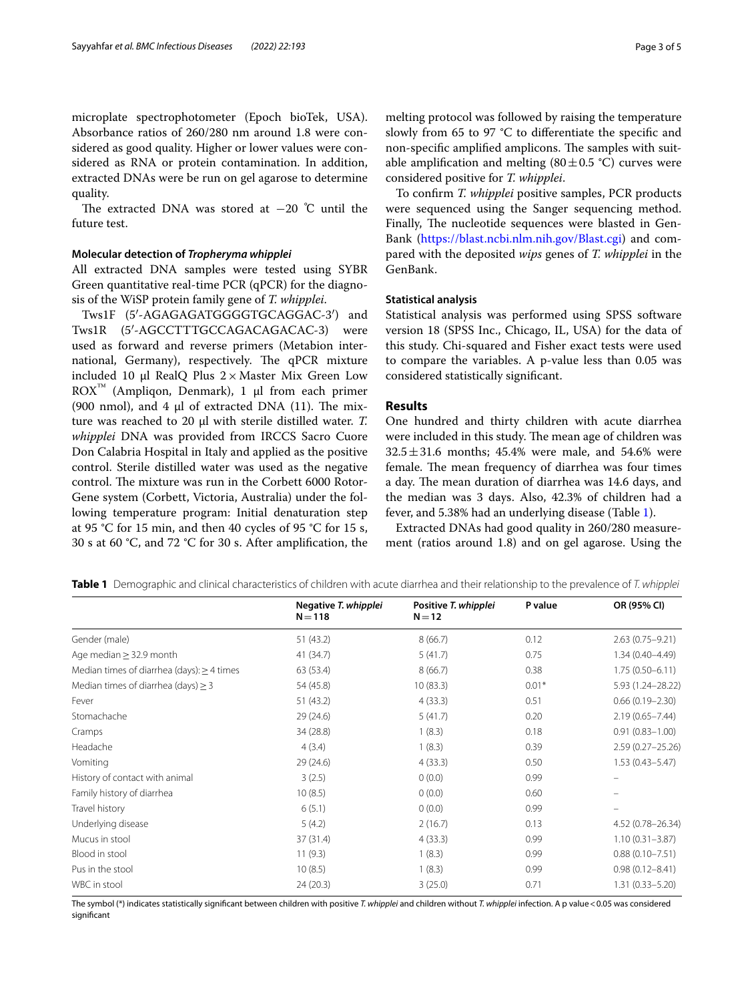microplate spectrophotometer (Epoch bioTek, USA). Absorbance ratios of 260/280 nm around 1.8 were considered as good quality. Higher or lower values were considered as RNA or protein contamination. In addition, extracted DNAs were be run on gel agarose to determine quality.

The extracted DNA was stored at  $-20$  °C until the future test.

#### **Molecular detection of** *Tropheryma whipplei*

All extracted DNA samples were tested using SYBR Green quantitative real-time PCR (qPCR) for the diagnosis of the WiSP protein family gene of *T. whipplei*.

Tws1F (5′-AGAGAGATGGGGTGCAGGAC-3′) and Tws1R (5′-AGCCTTTGCCAGACAGACAC-3) were used as forward and reverse primers (Metabion international, Germany), respectively. The qPCR mixture included 10 μl RealQ Plus  $2 \times$  Master Mix Green Low  $ROX<sup>™</sup>$  (Ampliqon, Denmark), 1 μl from each primer (900 nmol), and 4  $\mu$ l of extracted DNA (11). The mixture was reached to 20 μl with sterile distilled water. *T. whipplei* DNA was provided from IRCCS Sacro Cuore Don Calabria Hospital in Italy and applied as the positive control. Sterile distilled water was used as the negative control. The mixture was run in the Corbett 6000 Rotor-Gene system (Corbett, Victoria, Australia) under the following temperature program: Initial denaturation step at 95 °C for 15 min, and then 40 cycles of 95 °C for 15 s, 30 s at 60 °C, and 72 °C for 30 s. After amplifcation, the melting protocol was followed by raising the temperature slowly from 65 to 97 °C to diferentiate the specifc and non-specific amplified amplicons. The samples with suitable amplification and melting  $(80 \pm 0.5 \degree C)$  curves were considered positive for *T. whipplei*.

To confrm *T. whipplei* positive samples, PCR products were sequenced using the Sanger sequencing method. Finally, The nucleotide sequences were blasted in Gen-Bank (<https://blast.ncbi.nlm.nih.gov/Blast.cgi>) and compared with the deposited *wips* genes of *T. whipplei* in the GenBank.

#### **Statistical analysis**

Statistical analysis was performed using SPSS software version 18 (SPSS Inc., Chicago, IL, USA) for the data of this study. Chi-squared and Fisher exact tests were used to compare the variables. A p-value less than 0.05 was considered statistically signifcant.

#### **Results**

One hundred and thirty children with acute diarrhea were included in this study. The mean age of children was  $32.5 \pm 31.6$  months; 45.4% were male, and 54.6% were female. The mean frequency of diarrhea was four times a day. The mean duration of diarrhea was 14.6 days, and the median was 3 days. Also, 42.3% of children had a fever, and 5.38% had an underlying disease (Table [1\)](#page-2-0).

Extracted DNAs had good quality in 260/280 measurement (ratios around 1.8) and on gel agarose. Using the

<span id="page-2-0"></span>

|  |  |  |  | Table 1 Demographic and clinical characteristics of children with acute diarrhea and their relationship to the prevalence of T. whipplei |  |
|--|--|--|--|------------------------------------------------------------------------------------------------------------------------------------------|--|
|--|--|--|--|------------------------------------------------------------------------------------------------------------------------------------------|--|

|                                                 | Negative T. whipplei<br>$N = 118$ | Positive T. whipplei<br>$N = 12$ | P value | OR (95% CI)         |
|-------------------------------------------------|-----------------------------------|----------------------------------|---------|---------------------|
| Gender (male)                                   | 51 (43.2)                         | 8(66.7)                          | 0.12    | $2.63(0.75 - 9.21)$ |
| Age median $\geq$ 32.9 month                    | 41 (34.7)                         | 5(41.7)                          | 0.75    | $1.34(0.40 - 4.49)$ |
| Median times of diarrhea (days): $\geq$ 4 times | 63 (53.4)                         | 8(66.7)                          | 0.38    | $1.75(0.50 - 6.11)$ |
| Median times of diarrhea (days) $\geq$ 3        | 54 (45.8)                         | 10(83.3)                         | $0.01*$ | 5.93 (1.24-28.22)   |
| Fever                                           | 51 (43.2)                         | 4(33.3)                          | 0.51    | $0.66(0.19 - 2.30)$ |
| Stomachache                                     | 29 (24.6)                         | 5(41.7)                          | 0.20    | $2.19(0.65 - 7.44)$ |
| Cramps                                          | 34 (28.8)                         | 1(8.3)                           | 0.18    | $0.91(0.83 - 1.00)$ |
| Headache                                        | 4(3.4)                            | 1(8.3)                           | 0.39    | 2.59 (0.27-25.26)   |
| Vomiting                                        | 29(24.6)                          | 4(33.3)                          | 0.50    | $1.53(0.43 - 5.47)$ |
| History of contact with animal                  | 3(2.5)                            | 0(0.0)                           | 0.99    |                     |
| Family history of diarrhea                      | 10(8.5)                           | 0(0.0)                           | 0.60    |                     |
| Travel history                                  | 6(5.1)                            | 0(0.0)                           | 0.99    |                     |
| Underlying disease                              | 5(4.2)                            | 2(16.7)                          | 0.13    | 4.52 (0.78-26.34)   |
| Mucus in stool                                  | 37 (31.4)                         | 4(33.3)                          | 0.99    | $1.10(0.31 - 3.87)$ |
| Blood in stool                                  | 11(9.3)                           | 1(8.3)                           | 0.99    | $0.88(0.10 - 7.51)$ |
| Pus in the stool                                | 10(8.5)                           | 1(8.3)                           | 0.99    | $0.98(0.12 - 8.41)$ |
| WBC in stool                                    | 24(20.3)                          | 3(25.0)                          | 0.71    | $1.31(0.33 - 5.20)$ |

The symbol (\*) indicates statistically signifcant between children with positive *T. whipplei* and children without *T. whipplei* infection. A p value<0.05 was considered signifcant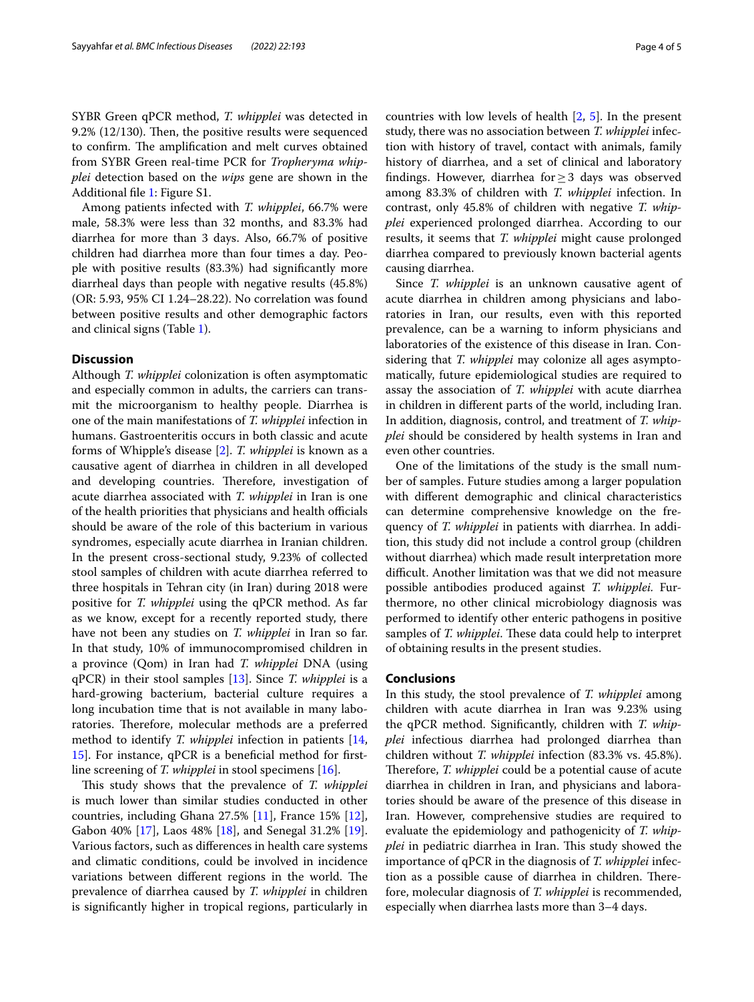SYBR Green qPCR method, *T. whipplei* was detected in 9.2%  $(12/130)$ . Then, the positive results were sequenced to confirm. The amplification and melt curves obtained from SYBR Green real-time PCR for *Tropheryma whipplei* detection based on the *wips* gene are shown in the Additional fle [1](#page-4-12): Figure S1.

Among patients infected with *T. whipplei*, 66.7% were male, 58.3% were less than 32 months, and 83.3% had diarrhea for more than 3 days. Also, 66.7% of positive children had diarrhea more than four times a day. People with positive results (83.3%) had signifcantly more diarrheal days than people with negative results (45.8%) (OR: 5.93, 95% CI 1.24–28.22). No correlation was found between positive results and other demographic factors and clinical signs (Table [1](#page-2-0)).

#### **Discussion**

Although *T. whipplei* colonization is often asymptomatic and especially common in adults, the carriers can transmit the microorganism to healthy people. Diarrhea is one of the main manifestations of *T. whipplei* infection in humans. Gastroenteritis occurs in both classic and acute forms of Whipple's disease [\[2](#page-4-1)]. *T. whipplei* is known as a causative agent of diarrhea in children in all developed and developing countries. Therefore, investigation of acute diarrhea associated with *T. whipplei* in Iran is one of the health priorities that physicians and health officials should be aware of the role of this bacterium in various syndromes, especially acute diarrhea in Iranian children. In the present cross-sectional study, 9.23% of collected stool samples of children with acute diarrhea referred to three hospitals in Tehran city (in Iran) during 2018 were positive for *T. whipplei* using the qPCR method. As far as we know, except for a recently reported study, there have not been any studies on *T. whipplei* in Iran so far. In that study, 10% of immunocompromised children in a province (Qom) in Iran had *T. whipplei* DNA (using qPCR) in their stool samples [[13](#page-4-13)]. Since *T. whipplei* is a hard-growing bacterium, bacterial culture requires a long incubation time that is not available in many laboratories. Therefore, molecular methods are a preferred method to identify *T. whipplei* infection in patients [\[14](#page-4-14), [15\]](#page-4-15). For instance, qPCR is a benefcial method for frstline screening of *T. whipplei* in stool specimens [[16\]](#page-4-16).

This study shows that the prevalence of *T. whipplei* is much lower than similar studies conducted in other countries, including Ghana 27.5% [[11\]](#page-4-10), France 15% [\[12](#page-4-11)], Gabon 40% [\[17](#page-4-17)], Laos 48% [\[18\]](#page-4-18), and Senegal 31.2% [\[19](#page-4-19)]. Various factors, such as diferences in health care systems and climatic conditions, could be involved in incidence variations between different regions in the world. The prevalence of diarrhea caused by *T. whipplei* in children is signifcantly higher in tropical regions, particularly in countries with low levels of health [\[2](#page-4-1), [5\]](#page-4-4). In the present study, there was no association between *T. whipplei* infection with history of travel, contact with animals, family history of diarrhea, and a set of clinical and laboratory fndings. However, diarrhea for≥3 days was observed among 83.3% of children with *T. whipplei* infection. In contrast, only 45.8% of children with negative *T. whipplei* experienced prolonged diarrhea. According to our results, it seems that *T. whipplei* might cause prolonged diarrhea compared to previously known bacterial agents causing diarrhea.

Since *T. whipplei* is an unknown causative agent of acute diarrhea in children among physicians and laboratories in Iran, our results, even with this reported prevalence, can be a warning to inform physicians and laboratories of the existence of this disease in Iran. Considering that *T. whipplei* may colonize all ages asymptomatically, future epidemiological studies are required to assay the association of *T. whipplei* with acute diarrhea in children in diferent parts of the world, including Iran. In addition, diagnosis, control, and treatment of *T. whipplei* should be considered by health systems in Iran and even other countries.

One of the limitations of the study is the small number of samples. Future studies among a larger population with diferent demographic and clinical characteristics can determine comprehensive knowledge on the frequency of *T. whipplei* in patients with diarrhea. In addition, this study did not include a control group (children without diarrhea) which made result interpretation more difficult. Another limitation was that we did not measure possible antibodies produced against *T. whipplei.* Furthermore, no other clinical microbiology diagnosis was performed to identify other enteric pathogens in positive samples of *T. whipplei*. These data could help to interpret of obtaining results in the present studies.

#### **Conclusions**

In this study, the stool prevalence of *T. whipplei* among children with acute diarrhea in Iran was 9.23% using the qPCR method. Signifcantly, children with *T. whipplei* infectious diarrhea had prolonged diarrhea than children without *T. whipplei* infection (83.3% vs. 45.8%). Therefore, *T. whipplei* could be a potential cause of acute diarrhea in children in Iran, and physicians and laboratories should be aware of the presence of this disease in Iran. However, comprehensive studies are required to evaluate the epidemiology and pathogenicity of *T. whipplei* in pediatric diarrhea in Iran. This study showed the importance of qPCR in the diagnosis of *T. whipplei* infection as a possible cause of diarrhea in children. Therefore, molecular diagnosis of *T. whipplei* is recommended, especially when diarrhea lasts more than 3–4 days.